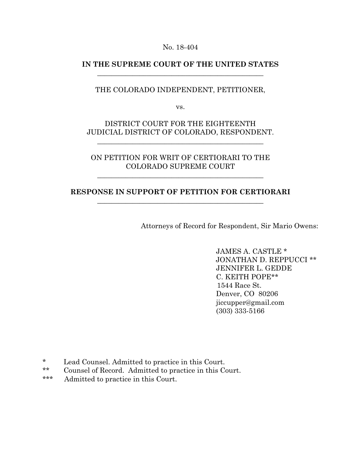No. 18-404

## **IN THE SUPREME COURT OF THE UNITED STATES** \_\_\_\_\_\_\_\_\_\_\_\_\_\_\_\_\_\_\_\_\_\_\_\_\_\_\_\_\_\_\_\_\_\_\_\_\_\_\_\_\_\_\_\_\_\_\_

## THE COLORADO INDEPENDENT, PETITIONER,

vs.

## DISTRICT COURT FOR THE EIGHTEENTH JUDICIAL DISTRICT OF COLORADO, RESPONDENT.

\_\_\_\_\_\_\_\_\_\_\_\_\_\_\_\_\_\_\_\_\_\_\_\_\_\_\_\_\_\_\_\_\_\_\_\_\_\_\_\_\_\_\_\_\_\_\_

## ON PETITION FOR WRIT OF CERTIORARI TO THE COLORADO SUPREME COURT

\_\_\_\_\_\_\_\_\_\_\_\_\_\_\_\_\_\_\_\_\_\_\_\_\_\_\_\_\_\_\_\_\_\_\_\_\_\_\_\_\_\_\_\_\_\_\_

## **RESPONSE IN SUPPORT OF PETITION FOR CERTIORARI** \_\_\_\_\_\_\_\_\_\_\_\_\_\_\_\_\_\_\_\_\_\_\_\_\_\_\_\_\_\_\_\_\_\_\_\_\_\_\_\_\_\_\_\_\_\_\_

Attorneys of Record for Respondent, Sir Mario Owens:

 JAMES A. CASTLE \* JONATHAN D. REPPUCCI \*\* JENNIFER L. GEDDE C. KEITH POPE\*\* 1544 Race St. Denver, CO 80206 jiccupper@gmail.com (303) 333-5166

- \* Lead Counsel. Admitted to practice in this Court.
- \*\* Counsel of Record. Admitted to practice in this Court.
- \*\*\* Admitted to practice in this Court.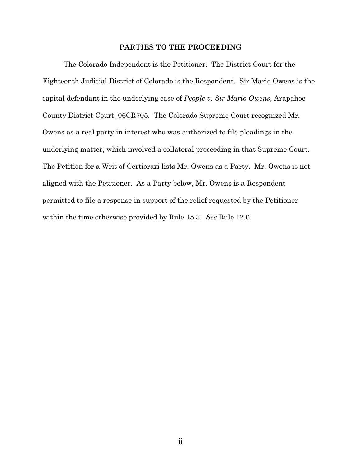#### **PARTIES TO THE PROCEEDING**

The Colorado Independent is the Petitioner. The District Court for the Eighteenth Judicial District of Colorado is the Respondent. Sir Mario Owens is the capital defendant in the underlying case of *People v. Sir Mario Owens*, Arapahoe County District Court, 06CR705. The Colorado Supreme Court recognized Mr. Owens as a real party in interest who was authorized to file pleadings in the underlying matter, which involved a collateral proceeding in that Supreme Court. The Petition for a Writ of Certiorari lists Mr. Owens as a Party. Mr. Owens is not aligned with the Petitioner. As a Party below, Mr. Owens is a Respondent permitted to file a response in support of the relief requested by the Petitioner within the time otherwise provided by Rule 15.3. *See* Rule 12.6.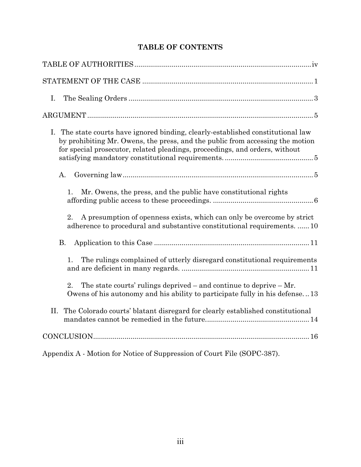# **TABLE OF CONTENTS**

| Ι.                                                                                                                                                                                                                                               |
|--------------------------------------------------------------------------------------------------------------------------------------------------------------------------------------------------------------------------------------------------|
|                                                                                                                                                                                                                                                  |
| I. The state courts have ignored binding, clearly-established constitutional law<br>by prohibiting Mr. Owens, the press, and the public from accessing the motion<br>for special prosecutor, related pleadings, proceedings, and orders, without |
| A.                                                                                                                                                                                                                                               |
| Mr. Owens, the press, and the public have constitutional rights<br>1.                                                                                                                                                                            |
| A presumption of openness exists, which can only be overcome by strict<br>2.<br>adherence to procedural and substantive constitutional requirements.  10                                                                                         |
| <b>B.</b>                                                                                                                                                                                                                                        |
| The rulings complained of utterly disregard constitutional requirements<br>1.                                                                                                                                                                    |
| 2.<br>The state courts' rulings deprived $-$ and continue to deprive $-$ Mr.<br>Owens of his autonomy and his ability to participate fully in his defense13                                                                                      |
| The Colorado courts' blatant disregard for clearly established constitutional<br>Η.                                                                                                                                                              |
|                                                                                                                                                                                                                                                  |
| Appendix A - Motion for Notice of Suppression of Court File (SOPC-387).                                                                                                                                                                          |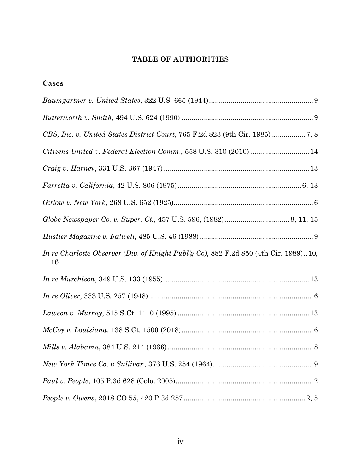# **TABLE OF AUTHORITIES**

**Cases**

| Citizens United v. Federal Election Comm., 558 U.S. 310 (2010)  14                         |
|--------------------------------------------------------------------------------------------|
|                                                                                            |
|                                                                                            |
|                                                                                            |
|                                                                                            |
|                                                                                            |
| In re Charlotte Observer (Div. of Knight Publ'g Co), 882 F.2d 850 (4th Cir. 1989)10,<br>16 |
|                                                                                            |
|                                                                                            |
|                                                                                            |
|                                                                                            |
|                                                                                            |
|                                                                                            |
|                                                                                            |
|                                                                                            |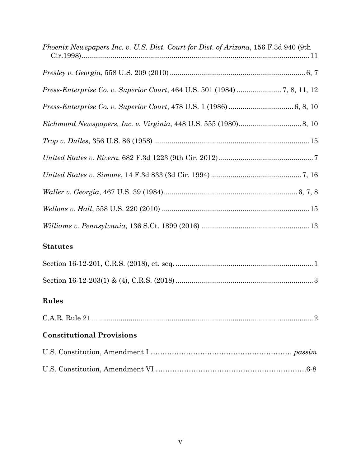| <i>Phoenix Newspapers Inc. v. U.S. Dist. Court for Dist. of Arizona, 156 F.3d 940 (9th</i> |
|--------------------------------------------------------------------------------------------|
|                                                                                            |
|                                                                                            |
|                                                                                            |
|                                                                                            |
|                                                                                            |
|                                                                                            |
|                                                                                            |
|                                                                                            |
|                                                                                            |
|                                                                                            |
| <b>Statutes</b>                                                                            |
|                                                                                            |
|                                                                                            |
| Rules                                                                                      |
|                                                                                            |
| <b>Constitutional Provisions</b>                                                           |
|                                                                                            |
|                                                                                            |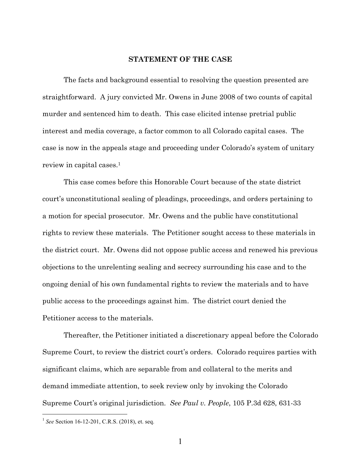#### **STATEMENT OF THE CASE**

The facts and background essential to resolving the question presented are straightforward. A jury convicted Mr. Owens in June 2008 of two counts of capital murder and sentenced him to death. This case elicited intense pretrial public interest and media coverage, a factor common to all Colorado capital cases. The case is now in the appeals stage and proceeding under Colorado's system of unitary review in capital cases.1

This case comes before this Honorable Court because of the state district court's unconstitutional sealing of pleadings, proceedings, and orders pertaining to a motion for special prosecutor. Mr. Owens and the public have constitutional rights to review these materials. The Petitioner sought access to these materials in the district court. Mr. Owens did not oppose public access and renewed his previous objections to the unrelenting sealing and secrecy surrounding his case and to the ongoing denial of his own fundamental rights to review the materials and to have public access to the proceedings against him. The district court denied the Petitioner access to the materials.

Thereafter, the Petitioner initiated a discretionary appeal before the Colorado Supreme Court, to review the district court's orders. Colorado requires parties with significant claims, which are separable from and collateral to the merits and demand immediate attention, to seek review only by invoking the Colorado Supreme Court's original jurisdiction. *See Paul v. People*, 105 P.3d 628, 631-33

 $\overline{a}$ 

<sup>&</sup>lt;sup>1</sup> *See* Section 16-12-201, C.R.S. (2018), et. seq.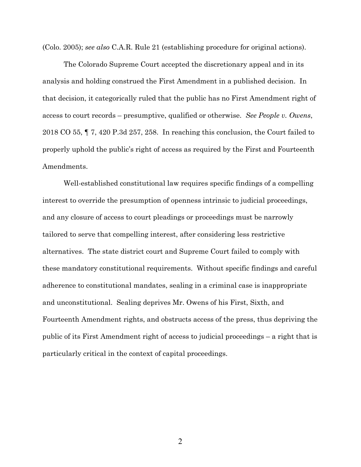(Colo. 2005); *see also* C.A.R. Rule 21 (establishing procedure for original actions).

The Colorado Supreme Court accepted the discretionary appeal and in its analysis and holding construed the First Amendment in a published decision. In that decision, it categorically ruled that the public has no First Amendment right of access to court records – presumptive, qualified or otherwise. *See People v. Owens*, 2018 CO 55, ¶ 7, 420 P.3d 257, 258. In reaching this conclusion, the Court failed to properly uphold the public's right of access as required by the First and Fourteenth Amendments.

Well-established constitutional law requires specific findings of a compelling interest to override the presumption of openness intrinsic to judicial proceedings, and any closure of access to court pleadings or proceedings must be narrowly tailored to serve that compelling interest, after considering less restrictive alternatives. The state district court and Supreme Court failed to comply with these mandatory constitutional requirements. Without specific findings and careful adherence to constitutional mandates, sealing in a criminal case is inappropriate and unconstitutional. Sealing deprives Mr. Owens of his First, Sixth, and Fourteenth Amendment rights, and obstructs access of the press, thus depriving the public of its First Amendment right of access to judicial proceedings – a right that is particularly critical in the context of capital proceedings.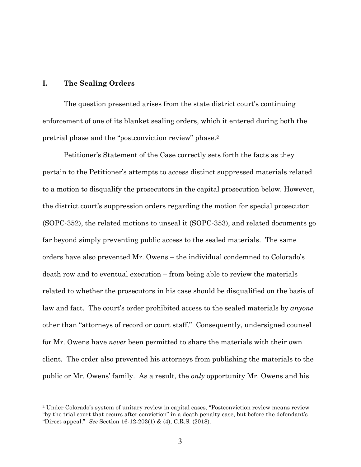#### **I. The Sealing Orders**

 $\overline{a}$ 

The question presented arises from the state district court's continuing enforcement of one of its blanket sealing orders, which it entered during both the pretrial phase and the "postconviction review" phase.2

Petitioner's Statement of the Case correctly sets forth the facts as they pertain to the Petitioner's attempts to access distinct suppressed materials related to a motion to disqualify the prosecutors in the capital prosecution below. However, the district court's suppression orders regarding the motion for special prosecutor (SOPC-352), the related motions to unseal it (SOPC-353), and related documents go far beyond simply preventing public access to the sealed materials. The same orders have also prevented Mr. Owens – the individual condemned to Colorado's death row and to eventual execution – from being able to review the materials related to whether the prosecutors in his case should be disqualified on the basis of law and fact. The court's order prohibited access to the sealed materials by *anyone* other than "attorneys of record or court staff." Consequently, undersigned counsel for Mr. Owens have *never* been permitted to share the materials with their own client. The order also prevented his attorneys from publishing the materials to the public or Mr. Owens' family. As a result, the *only* opportunity Mr. Owens and his

<sup>2</sup> Under Colorado's system of unitary review in capital cases, "Postconviction review means review "by the trial court that occurs after conviction" in a death penalty case, but before the defendant's "Direct appeal." *See* Section 16-12-203(1) & (4), C.R.S. (2018).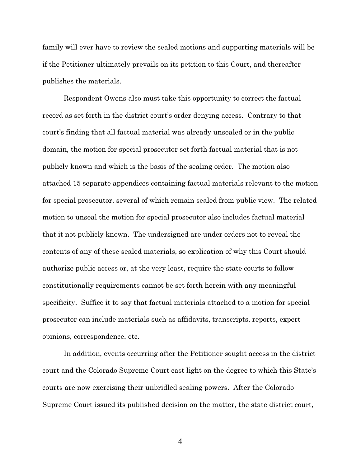family will ever have to review the sealed motions and supporting materials will be if the Petitioner ultimately prevails on its petition to this Court, and thereafter publishes the materials.

Respondent Owens also must take this opportunity to correct the factual record as set forth in the district court's order denying access. Contrary to that court's finding that all factual material was already unsealed or in the public domain, the motion for special prosecutor set forth factual material that is not publicly known and which is the basis of the sealing order. The motion also attached 15 separate appendices containing factual materials relevant to the motion for special prosecutor, several of which remain sealed from public view. The related motion to unseal the motion for special prosecutor also includes factual material that it not publicly known. The undersigned are under orders not to reveal the contents of any of these sealed materials, so explication of why this Court should authorize public access or, at the very least, require the state courts to follow constitutionally requirements cannot be set forth herein with any meaningful specificity. Suffice it to say that factual materials attached to a motion for special prosecutor can include materials such as affidavits, transcripts, reports, expert opinions, correspondence, etc.

In addition, events occurring after the Petitioner sought access in the district court and the Colorado Supreme Court cast light on the degree to which this State's courts are now exercising their unbridled sealing powers. After the Colorado Supreme Court issued its published decision on the matter, the state district court,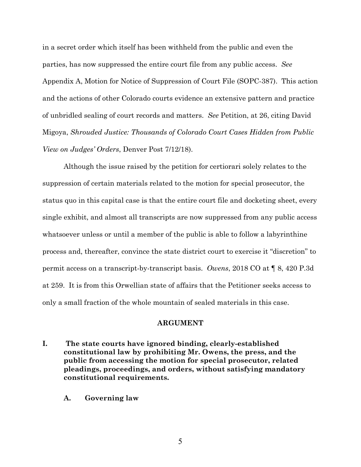in a secret order which itself has been withheld from the public and even the parties, has now suppressed the entire court file from any public access. *See* Appendix A, Motion for Notice of Suppression of Court File (SOPC-387). This action and the actions of other Colorado courts evidence an extensive pattern and practice of unbridled sealing of court records and matters. *See* Petition, at 26, citing David Migoya, *Shrouded Justice: Thousands of Colorado Court Cases Hidden from Public View on Judges' Orders*, Denver Post 7/12/18).

Although the issue raised by the petition for certiorari solely relates to the suppression of certain materials related to the motion for special prosecutor, the status quo in this capital case is that the entire court file and docketing sheet, every single exhibit, and almost all transcripts are now suppressed from any public access whatsoever unless or until a member of the public is able to follow a labyrinthine process and, thereafter, convince the state district court to exercise it "discretion" to permit access on a transcript-by-transcript basis. *Owens*, 2018 CO at ¶ 8, 420 P.3d at 259. It is from this Orwellian state of affairs that the Petitioner seeks access to only a small fraction of the whole mountain of sealed materials in this case.

#### **ARGUMENT**

- **I. The state courts have ignored binding, clearly-established constitutional law by prohibiting Mr. Owens, the press, and the public from accessing the motion for special prosecutor, related pleadings, proceedings, and orders, without satisfying mandatory constitutional requirements.** 
	- **A. Governing law**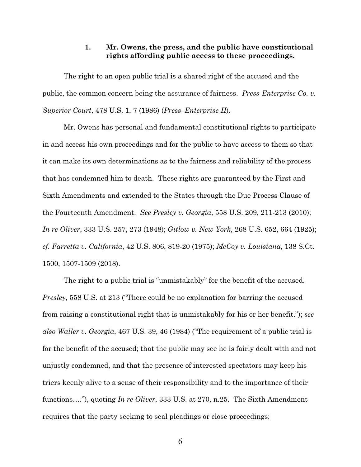## **1. Mr. Owens, the press, and the public have constitutional rights affording public access to these proceedings.**

The right to an open public trial is a shared right of the accused and the public, the common concern being the assurance of fairness. *Press-Enterprise Co. v. Superior Court*, 478 U.S. 1, 7 (1986) (*Press–Enterprise II*).

Mr. Owens has personal and fundamental constitutional rights to participate in and access his own proceedings and for the public to have access to them so that it can make its own determinations as to the fairness and reliability of the process that has condemned him to death. These rights are guaranteed by the First and Sixth Amendments and extended to the States through the Due Process Clause of the Fourteenth Amendment. *See Presley v. Georgia*, 558 U.S. 209, 211-213 (2010); *In re Oliver*, 333 U.S. 257, 273 (1948); *Gitlow v. New York*, 268 U.S. 652, 664 (1925); *cf. Farretta v. California*, 42 U.S. 806, 819-20 (1975); *McCoy v. Louisiana*, 138 S.Ct. 1500, 1507-1509 (2018).

The right to a public trial is "unmistakably" for the benefit of the accused. *Presley*, 558 U.S. at 213 ("There could be no explanation for barring the accused from raising a constitutional right that is unmistakably for his or her benefit."); *see also Waller v. Georgia*, 467 U.S. 39, 46 (1984) ("The requirement of a public trial is for the benefit of the accused; that the public may see he is fairly dealt with and not unjustly condemned, and that the presence of interested spectators may keep his triers keenly alive to a sense of their responsibility and to the importance of their functions…."), quoting *In re Oliver*, 333 U.S. at 270, n.25. The Sixth Amendment requires that the party seeking to seal pleadings or close proceedings: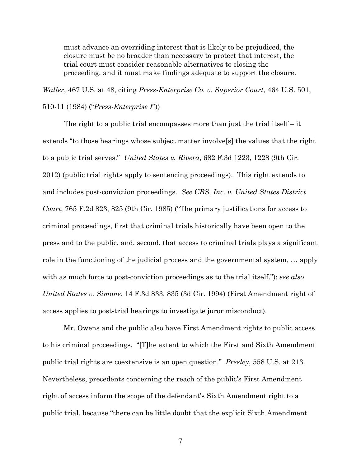must advance an overriding interest that is likely to be prejudiced, the closure must be no broader than necessary to protect that interest, the trial court must consider reasonable alternatives to closing the proceeding, and it must make findings adequate to support the closure.

*Waller*, 467 U.S. at 48, citing *Press-Enterprise Co. v. Superior Court*, 464 U.S. 501, 510-11 (1984) ("*Press-Enterprise I*"))

The right to a public trial encompasses more than just the trial itself  $-$  it extends "to those hearings whose subject matter involve[s] the values that the right to a public trial serves." *United States v. Rivera*, 682 F.3d 1223, 1228 (9th Cir. 2012) (public trial rights apply to sentencing proceedings). This right extends to and includes post-conviction proceedings. *See CBS, Inc. v. United States District Court*, 765 F.2d 823, 825 (9th Cir. 1985) ("The primary justifications for access to criminal proceedings, first that criminal trials historically have been open to the press and to the public, and, second, that access to criminal trials plays a significant role in the functioning of the judicial process and the governmental system, … apply with as much force to post-conviction proceedings as to the trial itself."); *see also United States v. Simone*, 14 F.3d 833, 835 (3d Cir. 1994) (First Amendment right of access applies to post-trial hearings to investigate juror misconduct).

Mr. Owens and the public also have First Amendment rights to public access to his criminal proceedings. "[T]he extent to which the First and Sixth Amendment public trial rights are coextensive is an open question." *Presley*, 558 U.S. at 213. Nevertheless, precedents concerning the reach of the public's First Amendment right of access inform the scope of the defendant's Sixth Amendment right to a public trial, because "there can be little doubt that the explicit Sixth Amendment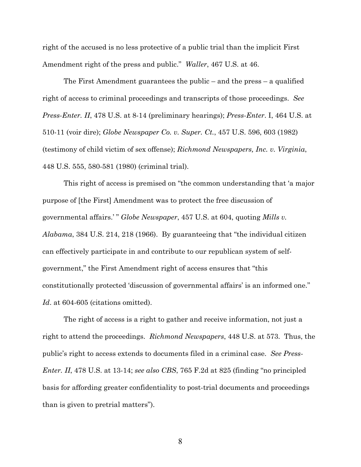right of the accused is no less protective of a public trial than the implicit First Amendment right of the press and public." *Waller*, 467 U.S. at 46.

The First Amendment guarantees the public – and the press – a qualified right of access to criminal proceedings and transcripts of those proceedings. *See Press-Enter. II*, 478 U.S. at 8-14 (preliminary hearings); *Press-Enter*. I, 464 U.S. at 510-11 (voir dire); *Globe Newspaper Co. v. Super. Ct.*, 457 U.S. 596, 603 (1982) (testimony of child victim of sex offense); *Richmond Newspapers, Inc. v. Virginia*, 448 U.S. 555, 580-581 (1980) (criminal trial).

This right of access is premised on "the common understanding that 'a major purpose of [the First] Amendment was to protect the free discussion of governmental affairs.' " *Globe Newspaper*, 457 U.S. at 604, quoting *Mills v. Alabama*, 384 U.S. 214, 218 (1966). By guaranteeing that "the individual citizen can effectively participate in and contribute to our republican system of selfgovernment," the First Amendment right of access ensures that "this constitutionally protected 'discussion of governmental affairs' is an informed one." Id. at 604-605 (citations omitted).

The right of access is a right to gather and receive information, not just a right to attend the proceedings. *Richmond Newspapers*, 448 U.S. at 573. Thus, the public's right to access extends to documents filed in a criminal case. *See Press-Enter. II*, 478 U.S. at 13-14; *see also CBS*, 765 F.2d at 825 (finding "no principled basis for affording greater confidentiality to post-trial documents and proceedings than is given to pretrial matters").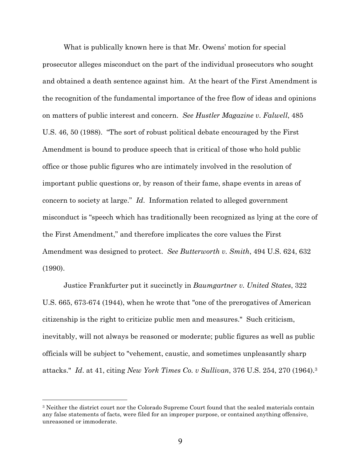What is publically known here is that Mr. Owens' motion for special prosecutor alleges misconduct on the part of the individual prosecutors who sought and obtained a death sentence against him. At the heart of the First Amendment is the recognition of the fundamental importance of the free flow of ideas and opinions on matters of public interest and concern. *See Hustler Magazine v. Falwell*, 485 U.S. 46, 50 (1988). "The sort of robust political debate encouraged by the First Amendment is bound to produce speech that is critical of those who hold public office or those public figures who are intimately involved in the resolution of important public questions or, by reason of their fame, shape events in areas of concern to society at large." *Id*. Information related to alleged government misconduct is "speech which has traditionally been recognized as lying at the core of the First Amendment," and therefore implicates the core values the First Amendment was designed to protect. *See Butterworth v. Smith*, 494 U.S. 624, 632 (1990).

Justice Frankfurter put it succinctly in *Baumgartner v. United States*, 322 U.S. 665, 673-674 (1944), when he wrote that "one of the prerogatives of American citizenship is the right to criticize public men and measures." Such criticism, inevitably, will not always be reasoned or moderate; public figures as well as public officials will be subject to "vehement, caustic, and sometimes unpleasantly sharp attacks." *Id*. at 41, citing *New York Times Co. v Sullivan*, 376 U.S. 254, 270 (1964).3

 $\overline{a}$ 

<sup>3</sup> Neither the district court nor the Colorado Supreme Court found that the sealed materials contain any false statements of facts, were filed for an improper purpose, or contained anything offensive, unreasoned or immoderate.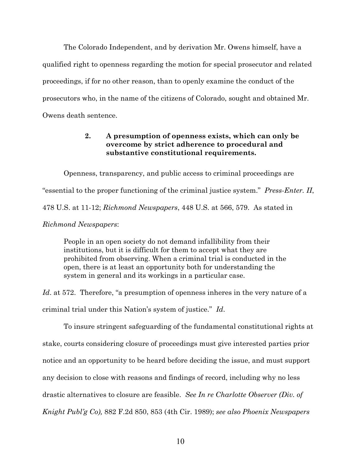The Colorado Independent, and by derivation Mr. Owens himself, have a qualified right to openness regarding the motion for special prosecutor and related proceedings, if for no other reason, than to openly examine the conduct of the prosecutors who, in the name of the citizens of Colorado, sought and obtained Mr. Owens death sentence.

## **2. A presumption of openness exists, which can only be overcome by strict adherence to procedural and substantive constitutional requirements.**

Openness, transparency, and public access to criminal proceedings are "essential to the proper functioning of the criminal justice system." *Press-Enter. II*, 478 U.S. at 11-12; *Richmond Newspapers*, 448 U.S. at 566, 579. As stated in *Richmond Newspapers*:

People in an open society do not demand infallibility from their institutions, but it is difficult for them to accept what they are prohibited from observing. When a criminal trial is conducted in the open, there is at least an opportunity both for understanding the system in general and its workings in a particular case.

*Id*. at 572. Therefore, "a presumption of openness inheres in the very nature of a criminal trial under this Nation's system of justice." *Id*.

To insure stringent safeguarding of the fundamental constitutional rights at stake, courts considering closure of proceedings must give interested parties prior notice and an opportunity to be heard before deciding the issue, and must support any decision to close with reasons and findings of record, including why no less drastic alternatives to closure are feasible. *See In re Charlotte Observer (Div. of Knight Publ'g Co),* 882 F.2d 850, 853 (4th Cir. 1989); *see also Phoenix Newspapers*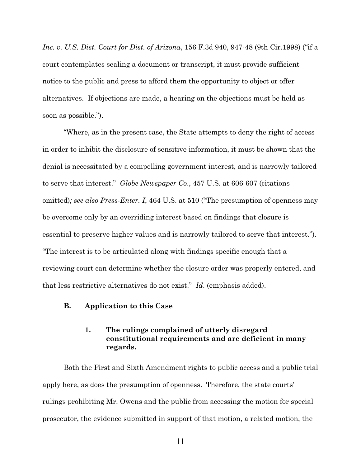*Inc. v. U.S. Dist. Court for Dist. of Arizona*, 156 F.3d 940, 947-48 (9th Cir.1998) ("if a court contemplates sealing a document or transcript, it must provide sufficient notice to the public and press to afford them the opportunity to object or offer alternatives. If objections are made, a hearing on the objections must be held as soon as possible.").

"Where, as in the present case, the State attempts to deny the right of access in order to inhibit the disclosure of sensitive information, it must be shown that the denial is necessitated by a compelling government interest, and is narrowly tailored to serve that interest." *Globe Newspaper Co*., 457 U.S. at 606-607 (citations omitted)*; see also Press-Enter. I*, 464 U.S. at 510 ("The presumption of openness may be overcome only by an overriding interest based on findings that closure is essential to preserve higher values and is narrowly tailored to serve that interest."). "The interest is to be articulated along with findings specific enough that a reviewing court can determine whether the closure order was properly entered, and that less restrictive alternatives do not exist." *Id*. (emphasis added).

### **B. Application to this Case**

## **1. The rulings complained of utterly disregard constitutional requirements and are deficient in many regards.**

Both the First and Sixth Amendment rights to public access and a public trial apply here, as does the presumption of openness. Therefore, the state courts' rulings prohibiting Mr. Owens and the public from accessing the motion for special prosecutor, the evidence submitted in support of that motion, a related motion, the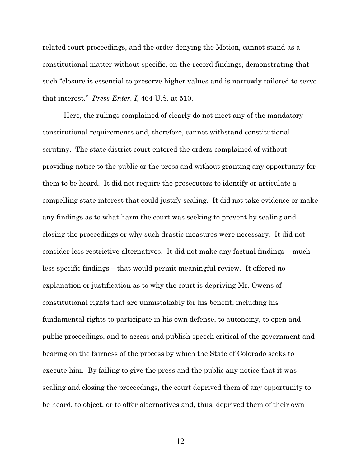related court proceedings, and the order denying the Motion, cannot stand as a constitutional matter without specific, on-the-record findings, demonstrating that such "closure is essential to preserve higher values and is narrowly tailored to serve that interest." *Press-Enter. I*, 464 U.S. at 510.

Here, the rulings complained of clearly do not meet any of the mandatory constitutional requirements and, therefore, cannot withstand constitutional scrutiny. The state district court entered the orders complained of without providing notice to the public or the press and without granting any opportunity for them to be heard. It did not require the prosecutors to identify or articulate a compelling state interest that could justify sealing. It did not take evidence or make any findings as to what harm the court was seeking to prevent by sealing and closing the proceedings or why such drastic measures were necessary. It did not consider less restrictive alternatives. It did not make any factual findings – much less specific findings – that would permit meaningful review. It offered no explanation or justification as to why the court is depriving Mr. Owens of constitutional rights that are unmistakably for his benefit, including his fundamental rights to participate in his own defense, to autonomy, to open and public proceedings, and to access and publish speech critical of the government and bearing on the fairness of the process by which the State of Colorado seeks to execute him. By failing to give the press and the public any notice that it was sealing and closing the proceedings, the court deprived them of any opportunity to be heard, to object, or to offer alternatives and, thus, deprived them of their own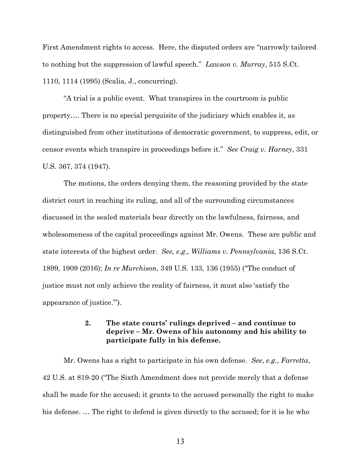First Amendment rights to access. Here, the disputed orders are "narrowly tailored to nothing but the suppression of lawful speech." *Lawson v. Murray*, 515 S.Ct. 1110, 1114 (1995) (Scalia, J., concurring).

"A trial is a public event. What transpires in the courtroom is public property…. There is no special perquisite of the judiciary which enables it, as distinguished from other institutions of democratic government, to suppress, edit, or censor events which transpire in proceedings before it." *See Craig v. Harney*, 331 U.S. 367, 374 (1947).

The motions, the orders denying them, the reasoning provided by the state district court in reaching its ruling, and all of the surrounding circumstances discussed in the sealed materials bear directly on the lawfulness, fairness, and wholesomeness of the capital proceedings against Mr. Owens. These are public and state interests of the highest order. *See, e.g., Williams v. Pennsylvania*, 136 S.Ct. 1899, 1909 (2016); *In re Murchison*, 349 U.S. 133, 136 (1955) ("The conduct of justice must not only achieve the reality of fairness, it must also 'satisfy the appearance of justice.'").

## **2. The state courts' rulings deprived – and continue to deprive – Mr. Owens of his autonomy and his ability to participate fully in his defense.**

Mr. Owens has a right to participate in his own defense. *See*, *e.g.*, *Farretta*, 42 U.S. at 819-20 ("The Sixth Amendment does not provide merely that a defense shall be made for the accused; it grants to the accused personally the right to make his defense. … The right to defend is given directly to the accused; for it is he who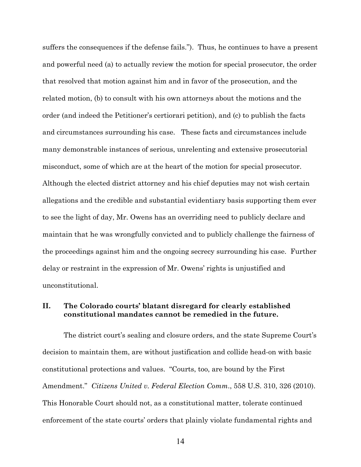suffers the consequences if the defense fails."). Thus, he continues to have a present and powerful need (a) to actually review the motion for special prosecutor, the order that resolved that motion against him and in favor of the prosecution, and the related motion, (b) to consult with his own attorneys about the motions and the order (and indeed the Petitioner's certiorari petition), and (c) to publish the facts and circumstances surrounding his case. These facts and circumstances include many demonstrable instances of serious, unrelenting and extensive prosecutorial misconduct, some of which are at the heart of the motion for special prosecutor. Although the elected district attorney and his chief deputies may not wish certain allegations and the credible and substantial evidentiary basis supporting them ever to see the light of day, Mr. Owens has an overriding need to publicly declare and maintain that he was wrongfully convicted and to publicly challenge the fairness of the proceedings against him and the ongoing secrecy surrounding his case. Further delay or restraint in the expression of Mr. Owens' rights is unjustified and unconstitutional.

## **II. The Colorado courts' blatant disregard for clearly established constitutional mandates cannot be remedied in the future.**

The district court's sealing and closure orders, and the state Supreme Court's decision to maintain them, are without justification and collide head-on with basic constitutional protections and values. "Courts, too, are bound by the First Amendment." *Citizens United v. Federal Election Comm*., 558 U.S. 310, 326 (2010). This Honorable Court should not, as a constitutional matter, tolerate continued enforcement of the state courts' orders that plainly violate fundamental rights and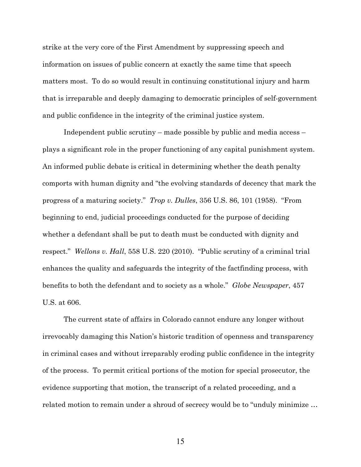strike at the very core of the First Amendment by suppressing speech and information on issues of public concern at exactly the same time that speech matters most. To do so would result in continuing constitutional injury and harm that is irreparable and deeply damaging to democratic principles of self-government and public confidence in the integrity of the criminal justice system.

Independent public scrutiny – made possible by public and media access – plays a significant role in the proper functioning of any capital punishment system. An informed public debate is critical in determining whether the death penalty comports with human dignity and "the evolving standards of decency that mark the progress of a maturing society." *Trop v. Dulles*, 356 U.S. 86, 101 (1958). "From beginning to end, judicial proceedings conducted for the purpose of deciding whether a defendant shall be put to death must be conducted with dignity and respect." *Wellons v. Hall*, 558 U.S. 220 (2010). "Public scrutiny of a criminal trial enhances the quality and safeguards the integrity of the factfinding process, with benefits to both the defendant and to society as a whole." *Globe Newspaper*, 457 U.S. at 606.

The current state of affairs in Colorado cannot endure any longer without irrevocably damaging this Nation's historic tradition of openness and transparency in criminal cases and without irreparably eroding public confidence in the integrity of the process. To permit critical portions of the motion for special prosecutor, the evidence supporting that motion, the transcript of a related proceeding, and a related motion to remain under a shroud of secrecy would be to "unduly minimize …